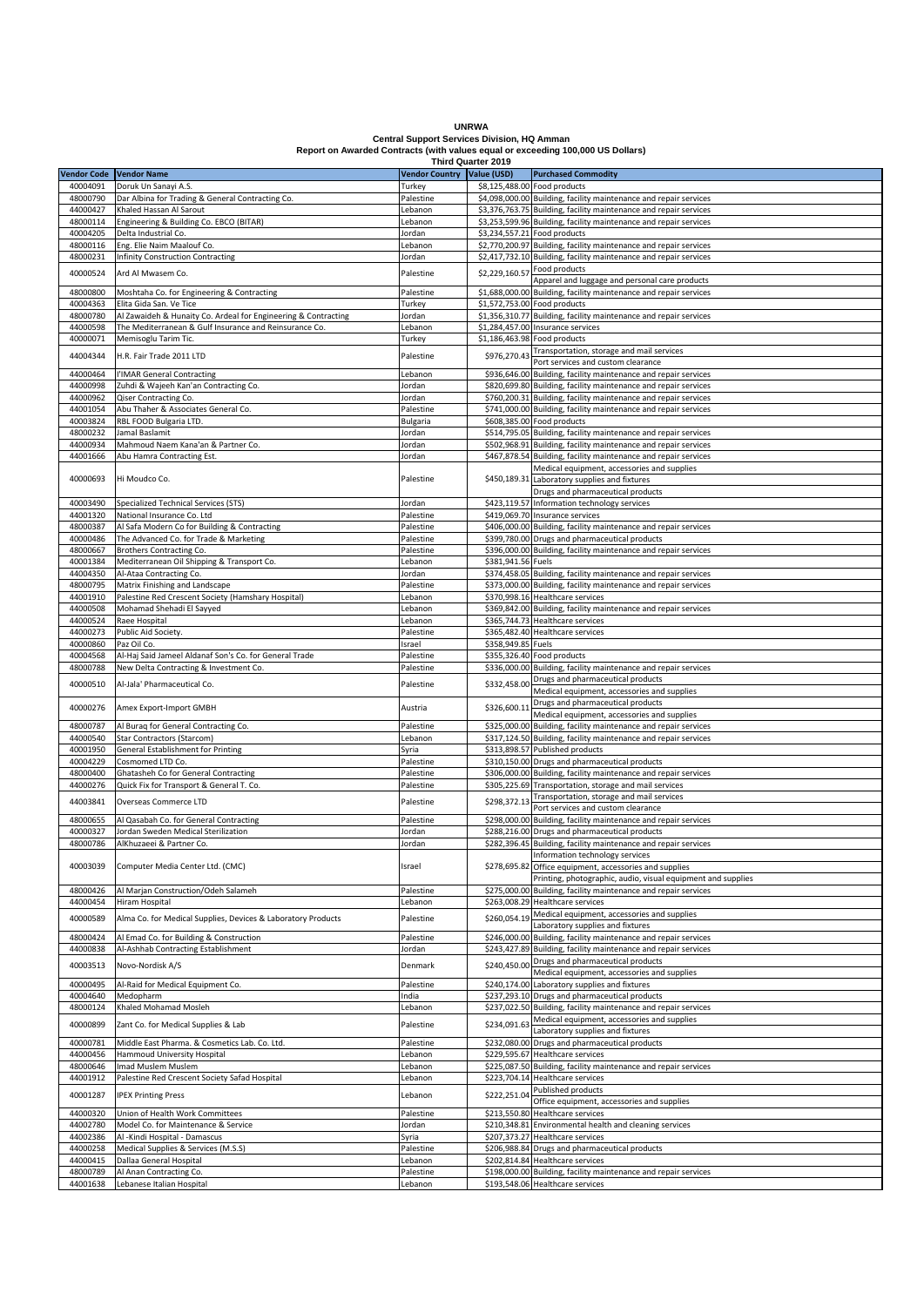| <b>UNRWA</b>                                                                    |
|---------------------------------------------------------------------------------|
| <b>Central Support Services Division. HQ Amman</b>                              |
| Report on Awarded Contracts (with values equal or exceeding 100,000 US Dollars) |
| <b>Third Quarter 2019</b>                                                       |

|                         |                                                                |                            | <b>Third Quarter 2019</b> |                                                                   |
|-------------------------|----------------------------------------------------------------|----------------------------|---------------------------|-------------------------------------------------------------------|
| Vendor Code Vendor Name |                                                                | Vendor Country Value (USD) |                           | <b>Purchased Commodity</b>                                        |
| 40004091                | Doruk Un Sanayi A.S.                                           | Turkey                     |                           | \$8,125,488.00 Food products                                      |
|                         |                                                                |                            |                           |                                                                   |
| 48000790                | Dar Albina for Trading & General Contracting Co.               | Palestine                  |                           | \$4,098,000.00 Building, facility maintenance and repair services |
| 44000427                | Khaled Hassan Al Sarout                                        | Lebanon                    |                           | \$3,376,763.75 Building, facility maintenance and repair services |
| 48000114                | Engineering & Building Co. EBCO (BITAR)                        | Lebanon                    |                           | \$3,253,599.96 Building, facility maintenance and repair services |
| 40004205                | Delta Industrial Co.                                           | Jordan                     |                           | \$3,234,557.21 Food products                                      |
| 48000116                | Eng. Elie Naim Maalouf Co.                                     | Lebanon                    |                           | \$2,770,200.97 Building, facility maintenance and repair services |
|                         |                                                                |                            |                           |                                                                   |
| 48000231                | <b>Infinity Construction Contracting</b>                       | Jordan                     |                           | \$2,417,732.10 Building, facility maintenance and repair services |
| 40000524                | Ard Al Mwasem Co.                                              | Palestine                  | \$2,229,160.57            | Food products                                                     |
|                         |                                                                |                            |                           | Apparel and luggage and personal care products                    |
| 48000800                | Moshtaha Co. for Engineering & Contracting                     | Palestine                  |                           | \$1,688,000.00 Building, facility maintenance and repair services |
| 40004363                | Elita Gida San. Ve Tice                                        | Turkey                     |                           | \$1,572,753.00 Food products                                      |
|                         |                                                                |                            |                           |                                                                   |
| 48000780                | Al Zawaideh & Hunaity Co. Ardeal for Engineering & Contracting | Jordan                     |                           | \$1,356,310.77 Building, facility maintenance and repair services |
| 44000598                | The Mediterranean & Gulf Insurance and Reinsurance Co.         | Lebanon                    |                           | \$1,284,457.00 Insurance services                                 |
| 40000071                | Memisoglu Tarim Tic.                                           | Turkey                     |                           | \$1,186,463.98 Food products                                      |
|                         |                                                                |                            |                           | Transportation, storage and mail services                         |
| 44004344                | H.R. Fair Trade 2011 LTD                                       | Palestine                  | \$976,270.43              | Port services and custom clearance                                |
| 44000464                | I'IMAR General Contracting                                     | Lebanon                    |                           | \$936,646.00 Building, facility maintenance and repair services   |
|                         |                                                                |                            |                           |                                                                   |
| 44000998                | Zuhdi & Wajeeh Kan'an Contracting Co.                          | Jordan                     |                           | \$820,699.80 Building, facility maintenance and repair services   |
| 44000962                | Qiser Contracting Co.                                          | Jordan                     |                           | \$760,200.31 Building, facility maintenance and repair services   |
| 44001054                | Abu Thaher & Associates General Co.                            | Palestine                  |                           | \$741,000.00 Building, facility maintenance and repair services   |
| 40003824                | RBL FOOD Bulgaria LTD.                                         | Bulgaria                   |                           | \$608,385.00 Food products                                        |
| 48000232                | Jamal Baslamit                                                 | Jordan                     |                           | \$514,795.05 Building, facility maintenance and repair services   |
|                         |                                                                |                            |                           |                                                                   |
| 44000934                | Mahmoud Naem Kana'an & Partner Co.                             | Jordan                     |                           | \$502,968.91 Building, facility maintenance and repair services   |
| 44001666                | Abu Hamra Contracting Est.                                     | Jordan                     |                           | \$467,878.54 Building, facility maintenance and repair services   |
|                         |                                                                |                            |                           | Medical equipment, accessories and supplies                       |
| 40000693                | Hi Moudco Co.                                                  | Palestine                  |                           | \$450,189.31 Laboratory supplies and fixtures                     |
|                         |                                                                |                            |                           | Drugs and pharmaceutical products                                 |
|                         |                                                                |                            |                           |                                                                   |
| 40003490                | Specialized Technical Services (STS)                           | Jordan                     |                           | \$423,119.57 Information technology services                      |
| 44001320                | National Insurance Co. Ltd                                     | Palestine                  |                           | \$419,069.70 Insurance services                                   |
| 48000387                | Al Safa Modern Co for Building & Contracting                   | Palestine                  |                           | \$406,000.00 Building, facility maintenance and repair services   |
| 40000486                | The Advanced Co. for Trade & Marketing                         | Palestine                  |                           | \$399,780.00 Drugs and pharmaceutical products                    |
| 48000667                | Brothers Contracting Co.                                       | Palestine                  |                           | \$396,000.00 Building, facility maintenance and repair services   |
|                         |                                                                |                            |                           |                                                                   |
| 40001384                | Mediterranean Oil Shipping & Transport Co.                     | Lebanon                    | \$381,941.56 Fuels        |                                                                   |
| 44004350                | Al-Ataa Contracting Co.                                        | Jordan                     |                           | \$374,458.05 Building, facility maintenance and repair services   |
| 48000795                | Matrix Finishing and Landscape                                 | Palestine                  |                           | \$373,000.00 Building, facility maintenance and repair services   |
| 44001910                | Palestine Red Crescent Society (Hamshary Hospital)             | Lebanon                    |                           | \$370,998.16 Healthcare services                                  |
| 44000508                | Mohamad Shehadi El Sayyed                                      | Lebanon                    |                           | \$369,842.00 Building, facility maintenance and repair services   |
|                         |                                                                |                            |                           |                                                                   |
| 44000524                | Raee Hospital                                                  | Lebanon                    |                           | \$365,744.73 Healthcare services                                  |
| 44000273                | Public Aid Society.                                            | Palestine                  |                           | \$365,482.40 Healthcare services                                  |
| 40000860                | Paz Oil Co.                                                    | Israel                     | \$358,949.85 Fuels        |                                                                   |
| 40004568                | Al-Haj Said Jameel Aldanaf Son's Co. for General Trade         | Palestine                  |                           | \$355,326.40 Food products                                        |
| 48000788                | New Delta Contracting & Investment Co.                         | Palestine                  |                           | \$336,000.00 Building, facility maintenance and repair services   |
|                         |                                                                |                            |                           |                                                                   |
| 40000510                | Al-Jala' Pharmaceutical Co.                                    | Palestine                  | \$332,458.00              | Drugs and pharmaceutical products                                 |
|                         |                                                                |                            |                           | Medical equipment, accessories and supplies                       |
|                         |                                                                |                            |                           | Drugs and pharmaceutical products                                 |
| 40000276                | Amex Export-Import GMBH                                        | Austria                    | \$326,600.11              | Medical equipment, accessories and supplies                       |
| 48000787                | Al Buraq for General Contracting Co.                           | Palestine                  |                           | \$325,000.00 Building, facility maintenance and repair services   |
|                         |                                                                |                            |                           |                                                                   |
| 44000540                | Star Contractors (Starcom)                                     | Lebanon                    |                           | \$317,124.50 Building, facility maintenance and repair services   |
| 40001950                | General Establishment for Printing                             | Syria                      |                           | \$313,898.57 Published products                                   |
| 40004229                | Cosmomed LTD Co.                                               | Palestine                  |                           | \$310,150.00 Drugs and pharmaceutical products                    |
| 48000400                | Ghatasheh Co for General Contracting                           | Palestine                  |                           | \$306,000.00 Building, facility maintenance and repair services   |
| 44000276                | Quick Fix for Transport & General T. Co.                       | Palestine                  |                           | \$305,225.69 Transportation, storage and mail services            |
|                         |                                                                |                            |                           | Transportation, storage and mail services                         |
| 44003841                | Overseas Commerce LTD                                          | Palestine                  | \$298,372.13              |                                                                   |
|                         |                                                                |                            |                           | Port services and custom clearance                                |
| 48000655                | Al Qasabah Co. for General Contracting                         | Palestine                  |                           | \$298,000.00 Building, facility maintenance and repair services   |
| 40000327                | Jordan Sweden Medical Sterilization                            | Jordan                     |                           | \$288,216.00 Drugs and pharmaceutical products                    |
| 48000786                | AlKhuzaeei & Partner Co.                                       | Jordan                     |                           | \$282,396.45 Building, facility maintenance and repair services   |
|                         |                                                                |                            |                           |                                                                   |
| 40003039                |                                                                | Israel                     |                           | Information technology services                                   |
|                         | Computer Media Center Ltd. (CMC)                               |                            |                           | \$278,695.82 Office equipment, accessories and supplies           |
|                         |                                                                |                            |                           | Printing, photographic, audio, visual equipment and supplies      |
| 48000426                | Al Marjan Construction/Odeh Salameh                            | Palestine                  |                           | \$275,000.00 Building, facility maintenance and repair services   |
| 44000454                | Hiram Hospital                                                 | Lebanon                    |                           | \$263,008.29 Healthcare services                                  |
|                         |                                                                |                            |                           | Medical equipment, accessories and supplies                       |
| 40000589                | Alma Co. for Medical Supplies, Devices & Laboratory Products   | Palestine                  | \$260,054.19              | Laboratory supplies and fixtures                                  |
|                         |                                                                |                            |                           |                                                                   |
| 48000424                | Al Emad Co. for Building & Construction                        | Palestine                  |                           | \$246,000.00 Building, facility maintenance and repair services   |
| 44000838                | Al-Ashhab Contracting Establishment                            | Jordan                     |                           | \$243,427.89 Building, facility maintenance and repair services   |
| 40003513                | Novo-Nordisk A/S                                               | Denmark                    | \$240,450.00              | Drugs and pharmaceutical products                                 |
|                         |                                                                |                            |                           | Medical equipment, accessories and supplies                       |
| 40000495                | Al-Raid for Medical Equipment Co.                              | Palestine                  |                           | \$240,174.00 Laboratory supplies and fixtures                     |
| 40004640                | Medopharm                                                      | India                      |                           | \$237,293.10 Drugs and pharmaceutical products                    |
|                         |                                                                |                            |                           |                                                                   |
| 48000124                | Khaled Mohamad Mosleh                                          | Lebanon                    |                           | \$237,022.50 Building, facility maintenance and repair services   |
| 40000899                | Zant Co. for Medical Supplies & Lab                            | Palestine                  | \$234,091.63              | Medical equipment, accessories and supplies                       |
|                         |                                                                |                            |                           | Laboratory supplies and fixtures                                  |
| 40000781                | Middle East Pharma. & Cosmetics Lab. Co. Ltd.                  | Palestine                  |                           | \$232,080.00 Drugs and pharmaceutical products                    |
| 44000456                | Hammoud University Hospital                                    | Lebanon                    |                           | \$229,595.67 Healthcare services                                  |
| 48000646                | Imad Muslem Muslem                                             |                            |                           | \$225,087.50 Building, facility maintenance and repair services   |
|                         |                                                                | Lebanon                    |                           |                                                                   |
| 44001912                | Palestine Red Crescent Society Safad Hospital                  | Lebanon                    |                           | \$223,704.14 Healthcare services                                  |
| 40001287                | <b>IPEX Printing Press</b>                                     | Lebanon                    | \$222,251.04              | <b>Published products</b>                                         |
|                         |                                                                |                            |                           | Office equipment, accessories and supplies                        |
| 44000320                | Union of Health Work Committees                                | Palestine                  |                           | \$213,550.80 Healthcare services                                  |
| 44002780                | Model Co. for Maintenance & Service                            | Jordan                     |                           | \$210,348.81 Environmental health and cleaning services           |
| 44002386                | Al -Kindi Hospital - Damascus                                  | Syria                      |                           | \$207,373.27 Healthcare services                                  |
|                         |                                                                |                            |                           |                                                                   |
| 44000258                | Medical Supplies & Services (M.S.S)                            | Palestine                  |                           | \$206,988.84 Drugs and pharmaceutical products                    |
| 44000415                | Dallaa General Hospital                                        | Lebanon                    |                           | \$202,814.84 Healthcare services                                  |
| 48000789                | Al Anan Contracting Co.                                        | Palestine                  |                           | \$198,000.00 Building, facility maintenance and repair services   |
|                         | Lebanese Italian Hospital                                      | Lebanon                    |                           | \$193,548.06 Healthcare services                                  |
| 44001638                |                                                                |                            |                           |                                                                   |